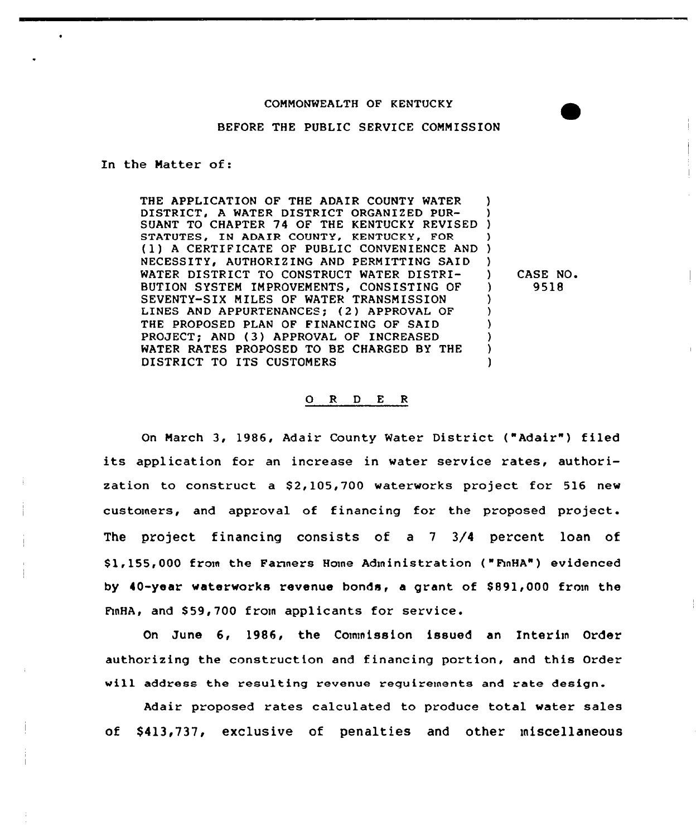## BEFORE THE PUBLIC SERVICE COMMISSION

In the Matter of:

THE APPLICATION OF THE ADAIR COUNTY WATER DISTRICT, <sup>A</sup> WATER DISTRICT ORGANIZED PUR-DISTRICT, A WATER DISTRICT ORGANIZED PUR- )<br>SUANT TO CHAPTER 74 OF THE KENTUCKY REVISED ) STATUTES, IN ADAIR COUNTY, KENTUCKY, FOR (1) A CERTIFICATE OF PUBLIC CONVENIENCE AND NECESSITY, AUTHORIZING AND PERMITTING SAID WATER DISTRICT TO CONSTRUCT WATER DISTRI-BUTION SYSTEM IMPROVEMENTS, CONSISTING OF SEVENTY-SIX MILES OF WATER TRANSMISSION LINES AND APPURTENANCES; (2) APPROVAL OF THE PROPOSED PLAN OF FINANCING OF SAID PROJECT; AND (3) APPROVAL OF INCREASED WATER RATES PROPOSED TO BE CHARGED BY THE DISTRICT TO ITS CUSTOMERS ) ) ) ) ) ) ) ) ) )

) CASE NO. ) 9518

### 0 <sup>R</sup> <sup>D</sup> E <sup>R</sup>

On March 3, 1986, Adair County Water District ("Adair") filed its application for an increase in water service rates, authorization to construct a \$2,105,700 waterworks project for 516 new customers, and approval of financing for the proposed project. The project financing consists of a <sup>7</sup> 3/4 percent loan of Sl, 155, 000 from the Farmers Home Administration ( "FmHA" ) evidenced by 40-year waterworks revenue bonds, a grant of \$ 891,000 from the FmHA, and \$59,700 from applicants for service.

On June 6, 1986, the Commission issued an Interim Order authorizing the construction and financing portion, and this Order vill address the resulting revenue requirements and rate design.

Adair proposed rates calculated to produce total water sales of \$413,737, exclusive of penalties and other miscellaneous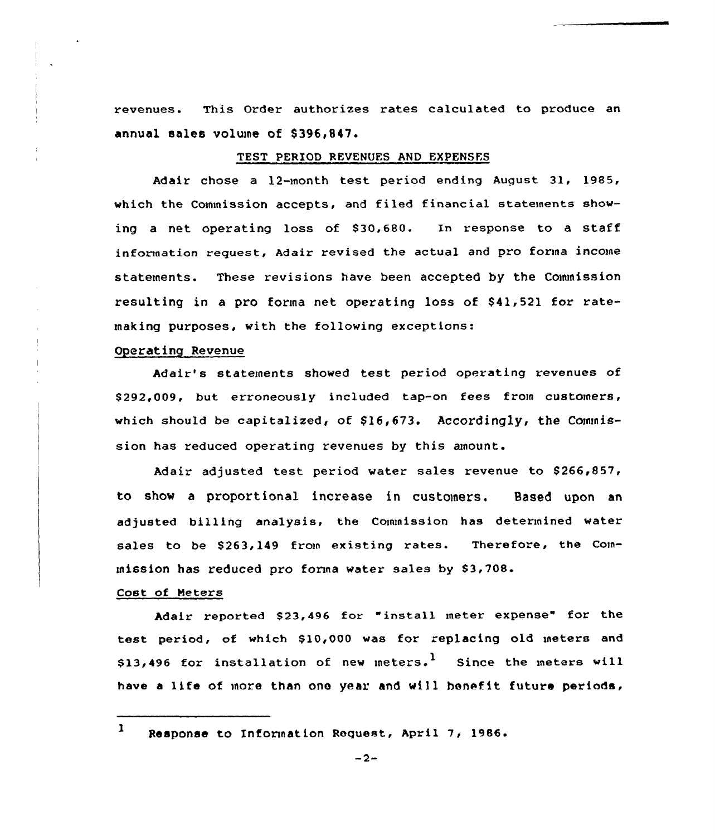revenues. This Order authorizes rates calculated to produce an annual sales volume of \$396,847.

# TEST PERIOD REVENUES AND EXPENSES

Adair chose <sup>a</sup> l2-month test period ending August 31, 1985, which the Commission accepts, and filed financial statements showing a net operating loss of \$30,680. In response to a staff information request, Adair revised the actual and pro forma income statements. These revisions have been accepted by the Cownission resulting in a pro forma net operating loss of \$41,521 for ratemaking purposes, with the following exceptions:

# Operating Revenue

Adair's statements showed test period operating revenues of \$ 292,009, but erroneously included tap-on fees from customers, which should be capitalized, of  $$16,673$ . Accordingly, the Commission has reduced operating revenues by this amount.

Adair adjusted test period water sales revenue to \$266,857, to show a proportional increase in customers. Based upon an adjusted billing analysis, the Commission has determined water sales to be \$263,149 from existing rates. Therefore, the Commission has reduced pro forma water sales by  $$3,708$ .

## Cost of Meters

Adair reported \$23,496 for "install meter expense" for the test period, of which \$10,000 was for replacing old meters and \$13,496 for installation of new meters.<sup>1</sup> Since the meters will have <sup>a</sup> life of more than one year and will benefit future periods,

l Response to Information Request, April 7, 1986.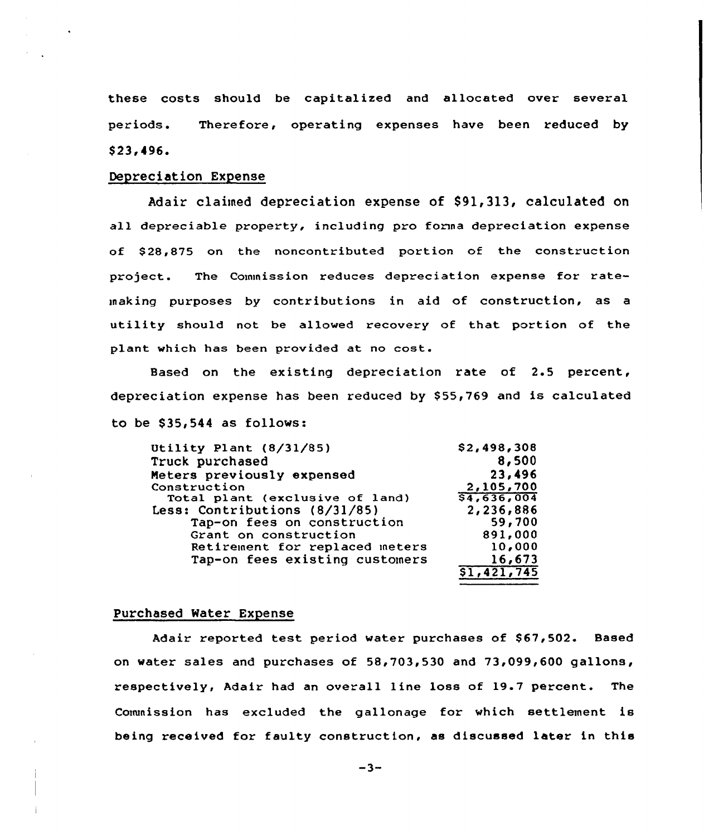these costs should be capitalized and allocated over several periods. Therefore, operating expenses have been reduced by \$ 23,496.

# Depreciation Expense

Adair claimed depreciation expense of \$91,313, calculated on all depreciable property, including pro fonna depreciation expense of \$ 28,875 on the noncontributed portion of the construction project. The Commission reduces depreciation expense for ratemaking purposes by contributions in aid of construction, as a utility should not be allowed recovery of that portion of the plant which has been provided at no cost.

Based on the existing depreciation rate of 2.5 percent, depreciation expense has been reduced by \$55,769 and is calculated to be  $$35,544$  as follows:

| \$2,498,308 |
|-------------|
| 8,500       |
| 23,496      |
| 2,105,700   |
| 54,636,004  |
| 2,236,886   |
| 59,700      |
| 891,000     |
| 10,000      |
| 16,673      |
| \$1,421,745 |
|             |

#### Purchased Water Expense

Adair reported test period water purchases of \$67,502. Based on water sales and purchases of 58,703,530 and 73,099<600 gallons, respectively, Adair had an overall line loss of 19.7 percent. The Commission has excluded the gallonage for which settlement is being received for faulty construction, as discussed later in this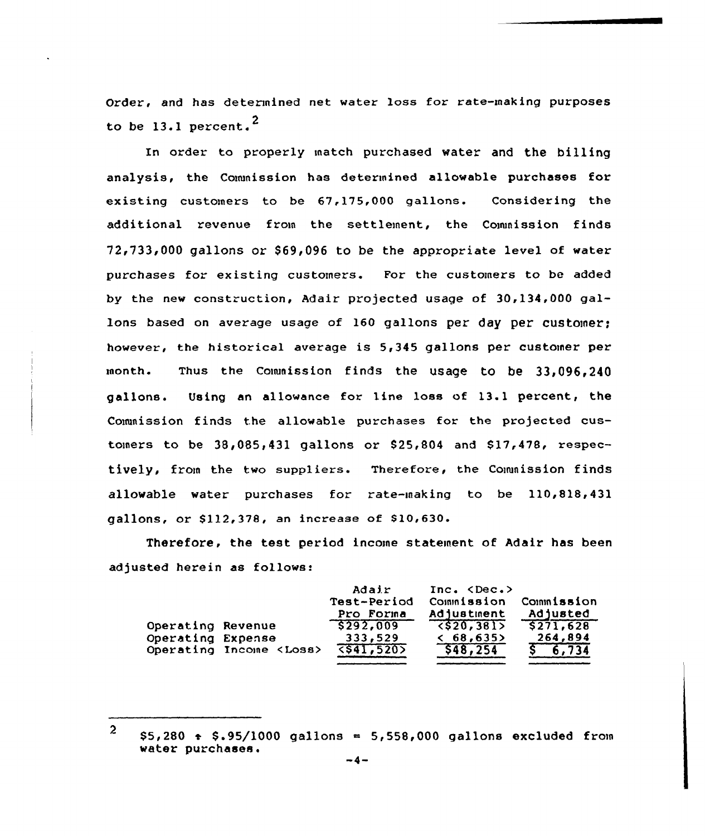Order, and has determined net water loss for rate-making purposes to be 13.1 percent. $^2$ 

In order to properly match purchased water and the billing analysis, the Conunission has determined allovable purchases for existing customers to be 67,175,000 gallons. Considering the additional revenue from the settlement, the Commission finds  $72,733,000$  gallons or \$69,096 to be the appropriate level of water purchases for existing customers. For the customers to be added by the new construction, Adair projected usage of 30,134,000 gallons based on average usage of 160 gallons per day per customer; however, the historical average is 5,345 gallons per customer per month. Thus the Commission finds the usage to be 33,096,240 gallons. Using an allowance for line loss of 13.1 percent, the Commission finds the allowable purchases for the projected customers to be  $38,085,431$  gallons or  $$25,804$  and  $$17,478$ , respectively, from the two suppliers. Therefore, the Commission finds allowable water purchases for rate-making to be 110,818,431 gallons, or \$112,378, an increase of \$10,630.

Therefore, the test period income stateinent of Adair has been adjusted herein as follows:

|                   |                                | Adair<br>Test-Period<br>Pro Forma | Inc. < Dec.<br>Commission<br>Adjustment | Commission<br>Adjusted |
|-------------------|--------------------------------|-----------------------------------|-----------------------------------------|------------------------|
| Operating Revenue |                                | 5292,009                          | $\langle$ \$20,381>                     | \$271,628              |
| Operating Expense |                                | 333,529                           | < 68,635                                | 264,894                |
|                   | Operating Income <loss></loss> | 5541,5205                         | \$48,254                                | \$6,734                |

<sup>2</sup>  $$5,280$   $\rightarrow$   $$.95/1000$  gallons  $=$  5,558,000 gallons excluded from water purchases.<br>-4-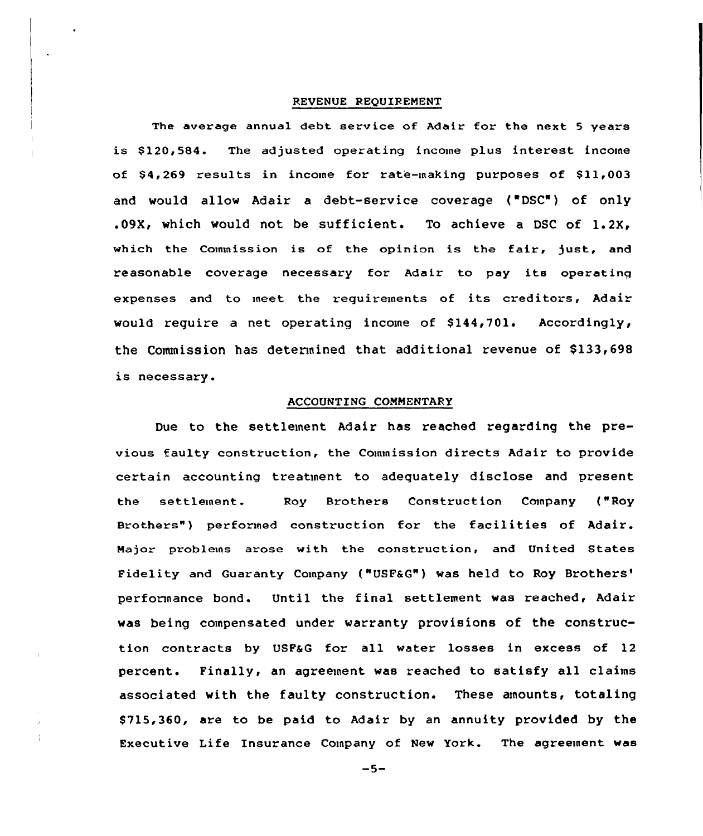### REVENUE REQUIREMENT

The average annual debt service of Adair for the next 5 years is \$120,584. The adjusted operating income plus interest income of \$4,269 results in income for rate-making purposes of \$11,003 and would allow Adair a debt-service coverage ("DSC") of only .09K, which would not be sufficient. To achieve a DSC of 1.2K, which the Commission is of the opinion is the fair, just, and reasonable coverage necessary for Adair to pay its operating expenses and to meet the requirements of its creditors, Adair would require a net operating income of  $$144,701$ . Accordingly, the Commission has determined that additional revenue of \$133,698 is necessary.

#### ACCOUNTING CONNENTARY

Due to the settlement Mair has reached regarding the previous faulty construction, the Commission directs Adair to provide certain accounting treatment to adequately disclose and present the settleinent. Roy Brothers Construction Company {"Roy Brothers") performed construction for the facilities of Adair. Major problems arose with the construction, and United States Fidelity and Guaranty Company ("USF&G") was held to Roy Brothers' performance bond. Until the final settlement was reached, Adair was being compensated under warranty provisions of the construction contracts by USFaG for all water losses in excess of 12 percent. Finally, an agreement was reached to satisfy all claims associated with the faulty construction. These aunounts, totaling \$ 715,360, are to be paid to Adair by an annuity provided by the Executive Life Insurance Company of New York. The agreement was

 $-5-$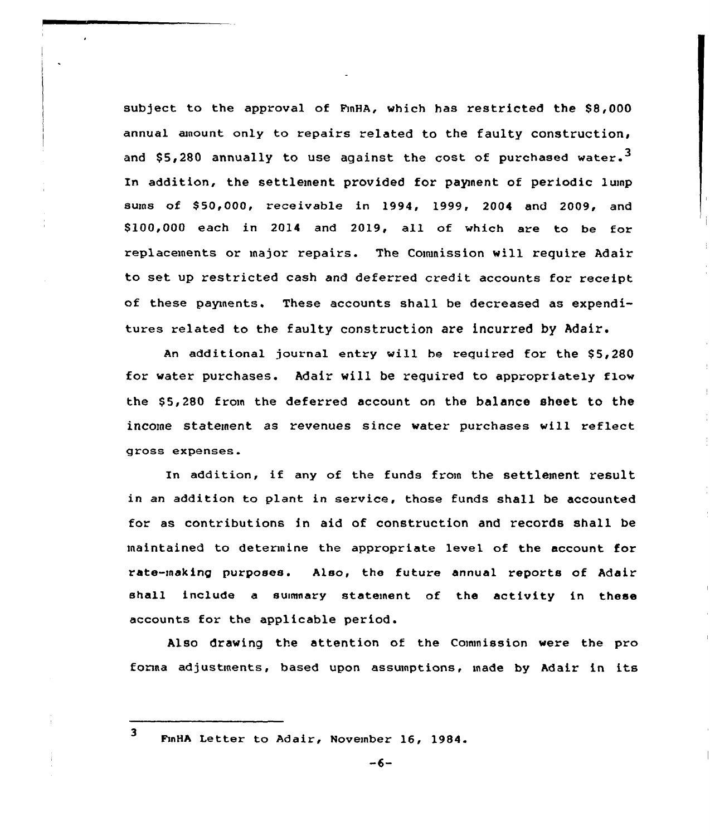subject to the approval of FmHA, which has restricted the \$8,000 annual amount only to repairs related to the faulty construction, and \$5,280 annually to use against the cost of purchased water.<sup>3</sup> In addition, the settlement provided for paynent of periodic lump sums of 850,000, receivable in 1994, 1999, 2004 and 2009, and \$ 100,000 each in 2014 and 2019, all of which are to be for replacements or major repairs. The Commission will require Adair to set up restricted cash and deferred credit accounts for receipt of these payments. These accounts shall be decreased as expenditures related to the faulty construction are incurred by Adair.

An additional journal entry will be required for the \$5,280 for water purchases. Adair will be required to appropriately flow the \$5,280 from the deferred account on the balance sheet to the income statement as revenues since water purchases will reflect gross expenses.

In addition, if any of the funds from the settlement result in an addition to plant in service, those funds shall be accounted for as contributions in aid of construction and records shall be maintained to determine the appropriate level of the account for rate-making purposes. Also, the future annual reports of Adair shall include a summary statement of the activity in these accounts for the applicable period.

Also drawing the attention of the Commission were the pro forma adjustments, based upon assumptions, made by Adair in its

FmHA Letter to Adair, November 16, 1984.

3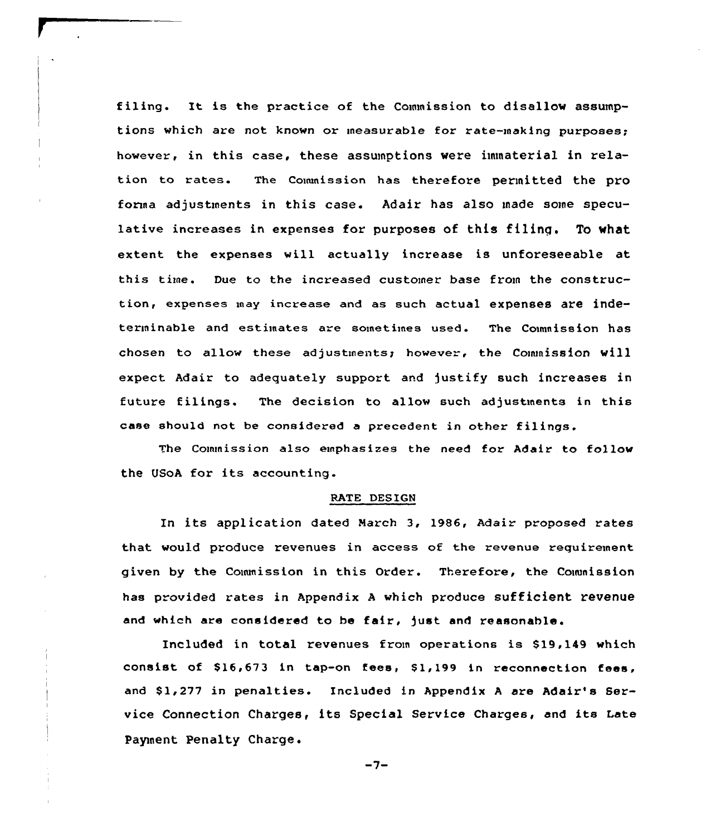filing. It is the practice of the Commission to disallow assumptions which are not known or measurable for rate-making purposes; however, in this case, these assumptions were immaterial in relation to rates. The Couunission has therefore permitted the pro fonna adjustments in this case. Adair has also made some speculative increases in expenses for purposes of this filing. To what extent the expenses will actually increase is unforeseeable at this time. Due to the increased customer base from the construction, expenses may increase and as such actual expenses are indeterminable and estimates are sometimes used. The Commission has chosen to allow these adjustments; however, the Commission will expect Adair to adequately support and justify such increases in future filings. The decision to allow such adjustments in this case should not be considered a precedent in other filings.

The Commission also emphasizes the need for Adair to follow the USoA for its accounting.

### RATE DESIGN

In its application dated Narch 3, 1986, Adair proposed rates that would produce revenues in access of the revenue requirement given by the Commission in this Order. Therefore, the Couunission has provided rates in Appendix A which produce sufficient revenue and which are considered to be fair, )ust and reasonable.

Included in total revenues from operations is \$19,149 which consist of \$16,673 in tap-on fees, \$1,199 in reconnection fees, and \$1,277 in penalties. Included in Appendix A are Adair's Service Connection Charges, its Special Service Charges, and its Late Payment Penalty Charge.

 $-7-$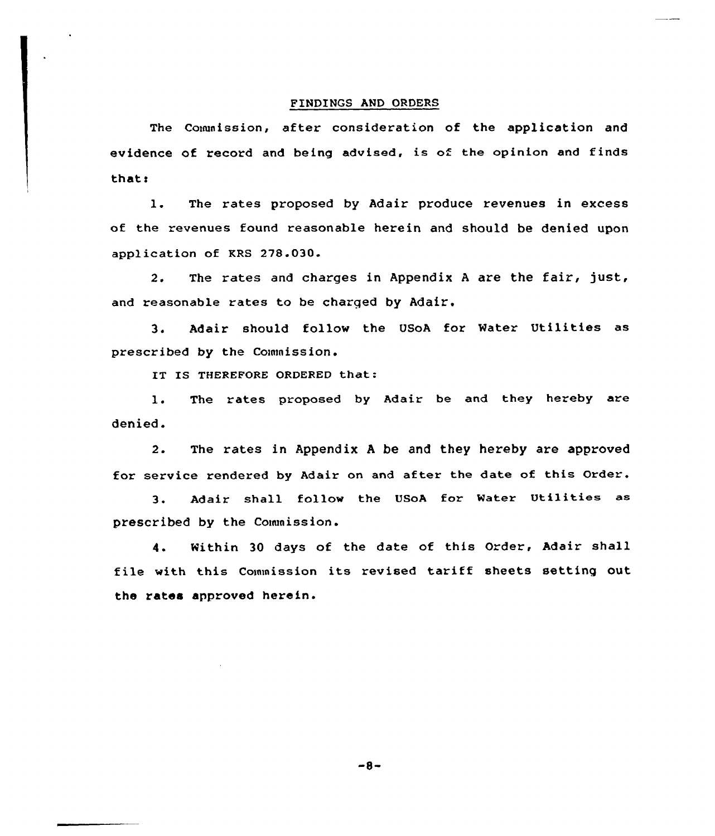## FINDINGS AND ORDERS

The Commission, after consideration of the application and evidence of record and being advised, is of the opinion and finds thats

1. The rates proposed by Adair produce revenues in excess of the revenues found reasonable herein and should be denied upon application of KRS 278.030.

2. The rates and charges in Appendix <sup>A</sup> are the fair, just, and reasonable rates to be charged by Adair.

3. Adair should follow the USoA for Water Utilities as prescribed by the Commission.

IT IS THEREFORE ORDERED that:

1. The rates proposed by Adair be and they hereby are denied.

2. The rates in Appendix <sup>A</sup> be and they hereby are approved for service rendered by Adair on and after the date of this Order.

3. Adair shall follow the USoA for Water Utilities as prescribed by the Conuaission.

4. Within 30 days of the date of this Order, Adair shall file with this Commission its revised tariff sheets setting out the rates approved herein.

 $-8-$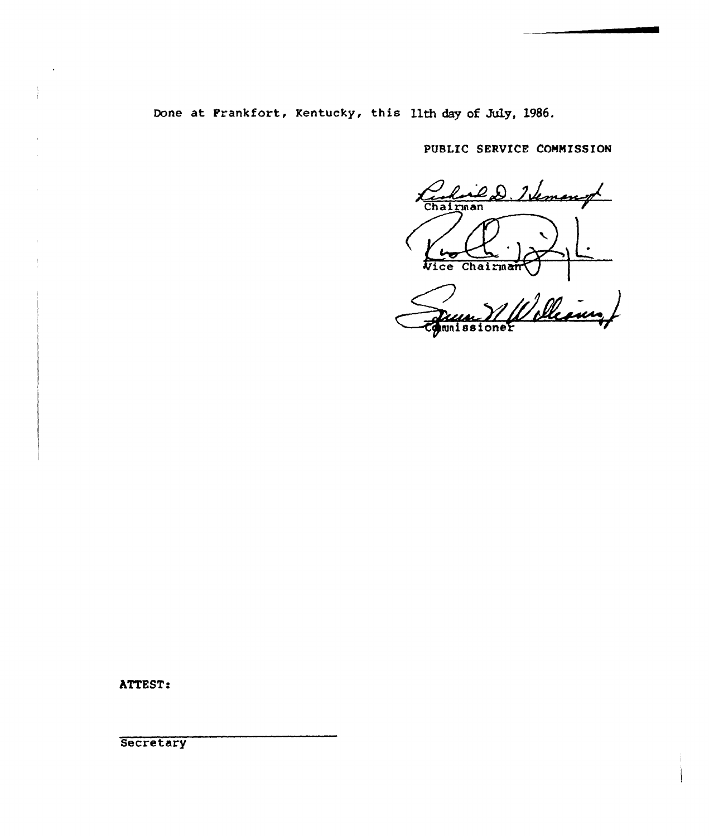Done at Frankfort, Rentucky, this 11th day of July, 1986.

PUBLIC SERVICE COMMISSION

ed. Hemangt Chairman Wice Chairman

William mnissi oner

ATTEST:

**Secretary**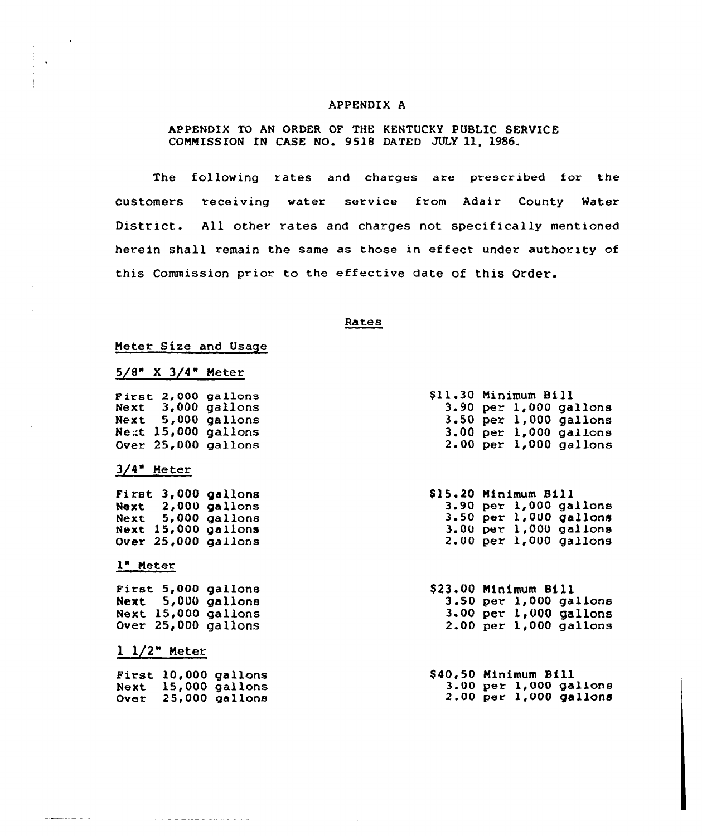# APPENDIX A

# APPENDIX TO AN ORDER OF THE KENTUCKY PUBLIC SERVICE COMMISSION IN CASE NO. 9518 DATED JULY ll, 1986.

The following rates and charges are prescribed for the customers receiving water service from Adair County Water District. All other rates and charges not specifically mentioned herein shall remain the same as those in effect under authority of this Commission prior to the effective date of this Order.

#### Rates

### Meter Size and Usage

# 5/8" X 3/4" Meter

**First 2,000 gallon**  $Next 3,000$ Next 5, 000 Next 15,000 gallon Over 25,000 gallon  $\bar{g}$ allon gallon

### 3/4" Meter

 $\bullet$ 

First 3,000 gallons  $Next$   $2,000$  gallon  $Next$  5,000 gallon  $Next$  15,000 gallon Over 25,000 gallons

## 1" Meter

First 5,000 gallons Next 5,000 gallon Next 15,000 gallon Over 25,000 gallons

# l 1/2" Meter

First 10.000 gallons  $Next$  15,000 gallon  $over = 25,000$  gallon

| \$11.30 Minimum Bill |  |                            |
|----------------------|--|----------------------------|
|                      |  | $3.90$ per $1,000$ gallons |
|                      |  | $3.50$ per $1,000$ gallons |
|                      |  | $3.00$ per $1,000$ gallons |
|                      |  | $2.00$ per $1,000$ gallons |

 $$15.20$ <br>  $3.90$ <br>  $3.50$ <br>  $3.00$ <br>  $2.00$ \$15.20 Minimum Bill per 1,000 gallons per 1, OUO gallons per 1,000 gallon per 1,000 gallon

 $$23.00$  Minimum Bill<br>3.50 per 1,000 gallons 3.00 per  $1,000$  gallons<br>2.00 per 1,000 gallons

\$ 40,50 Minimum Bill 3.00 per 1,000 gallons 2.00 per 1,000 gallons